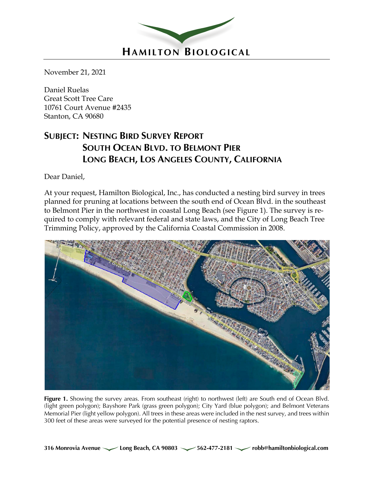

November 21, 2021

Daniel Ruelas Great Scott Tree Care 10761 Court Avenue #2435 Stanton, CA 90680

# **SUBJECT: NESTING BIRD SURVEY REPORT SOUTH OCEAN BLVD. TO BELMONT PIER LONG BEACH, LOS ANGELES COUNTY, CALIFORNIA**

Dear Daniel,

At your request, Hamilton Biological, Inc., has conducted a nesting bird survey in trees planned for pruning at locations between the south end of Ocean Blvd. in the southeast to Belmont Pier in the northwest in coastal Long Beach (see Figure 1). The survey is required to comply with relevant federal and state laws, and the City of Long Beach Tree Trimming Policy, approved by the California Coastal Commission in 2008.



Figure 1. Showing the survey areas. From southeast (right) to northwest (left) are South end of Ocean Blvd. (light green polygon); Bayshore Park (grass green polygon); City Yard (blue polygon); and Belmont Veterans Memorial Pier (light yellow polygon). All trees in these areas were included in the nest survey, and trees within 300 feet of these areas were surveyed for the potential presence of nesting raptors.

**316 Monrovia Avenue Long Beach, CA 90803 562-477-2181 robb@hamiltonbiological.com**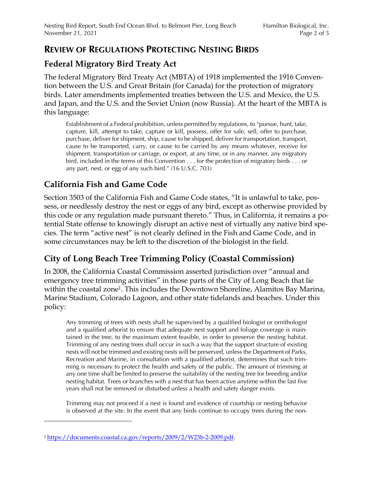#### **REVIEW OF REGULATIONS PROTECTING NESTING BIRDS**

### **Federal Migratory Bird Treaty Act**

The federal Migratory Bird Treaty Act (MBTA) of 1918 implemented the 1916 Convention between the U.S. and Great Britain (for Canada) for the protection of migratory birds. Later amendments implemented treaties between the U.S. and Mexico, the U.S. and Japan, and the U.S. and the Soviet Union (now Russia). At the heart of the MBTA is this language:

Establishment of a Federal prohibition, unless permitted by regulations, to "pursue, hunt, take, capture, kill, attempt to take, capture or kill, possess, offer for sale, sell, offer to purchase, purchase, deliver for shipment, ship, cause to be shipped, deliver for transportation, transport, cause to be transported, carry, or cause to be carried by any means whatever, receive for shipment, transportation or carriage, or export, at any time, or in any manner, any migratory bird, included in the terms of this Convention . . . for the protection of migratory birds . . . or any part, nest, or egg of any such bird." (16 U.S.C. 703)

# **California Fish and Game Code**

Section 3503 of the California Fish and Game Code states, "It is unlawful to take, possess, or needlessly destroy the nest or eggs of any bird, except as otherwise provided by this code or any regulation made pursuant thereto." Thus, in California, it remains a potential State offense to knowingly disrupt an active nest of virtually any native bird species. The term "active nest" is not clearly defined in the Fish and Game Code, and in some circumstances may be left to the discretion of the biologist in the field.

### **City of Long Beach Tree Trimming Policy (Coastal Commission)**

In 2008, the California Coastal Commission asserted jurisdiction over "annual and emergency tree trimming activities" in those parts of the City of Long Beach that lie within the coastal zone<sup>1</sup>. This includes the Downtown Shoreline, Alamitos Bay Marina, Marine Stadium, Colorado Lagoon, and other state tidelands and beaches. Under this policy:

Any trimming of trees with nests shall be supervised by a qualified biologist or ornithologist and a qualified arborist to ensure that adequate nest support and foliage coverage is maintained in the tree, to the maximum extent feasible, in order to preserve the nesting habitat. Trimming of any nesting trees shall occur in such a way that the support structure of existing nests will not be trimmed and existing nests will be preserved, unless the Department of Parks, Recreation and Marine, in consultation with a qualified arborist, determines that such trimming is necessary to protect the health and safety of the public. The amount of trimming at any one time shall be limited to preserve the suitability of the nesting tree for breeding and/or nesting habitat. Trees or branches with a nest that has been active anytime within the last five years shall not be removed or disturbed unless a health and safety danger exists.

Trimming may not proceed if a nest is found and evidence of courtship or nesting behavior is observed at the site. In the event that any birds continue to occupy trees during the non-

<sup>1</sup> https://documents.coastal.ca.gov/reports/2009/2/W23b-2-2009.pdf.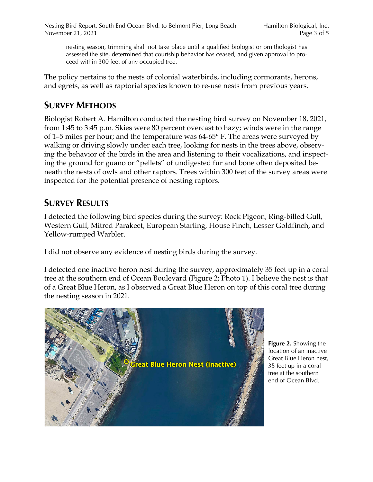nesting season, trimming shall not take place until a qualified biologist or ornithologist has assessed the site, determined that courtship behavior has ceased, and given approval to proceed within 300 feet of any occupied tree.

The policy pertains to the nests of colonial waterbirds, including cormorants, herons, and egrets, as well as raptorial species known to re-use nests from previous years.

# **SURVEY METHODS**

Biologist Robert A. Hamilton conducted the nesting bird survey on November 18, 2021, from 1:45 to 3:45 p.m. Skies were 80 percent overcast to hazy; winds were in the range of 1–5 miles per hour; and the temperature was 64-65° F. The areas were surveyed by walking or driving slowly under each tree, looking for nests in the trees above, observing the behavior of the birds in the area and listening to their vocalizations, and inspecting the ground for guano or "pellets" of undigested fur and bone often deposited beneath the nests of owls and other raptors. Trees within 300 feet of the survey areas were inspected for the potential presence of nesting raptors.

# **SURVEY RESULTS**

I detected the following bird species during the survey: Rock Pigeon, Ring-billed Gull, Western Gull, Mitred Parakeet, European Starling, House Finch, Lesser Goldfinch, and Yellow-rumped Warbler.

I did not observe any evidence of nesting birds during the survey.

I detected one inactive heron nest during the survey, approximately 35 feet up in a coral tree at the southern end of Ocean Boulevard (Figure 2; Photo 1). I believe the nest is that of a Great Blue Heron, as I observed a Great Blue Heron on top of this coral tree during the nesting season in 2021.



**Figure 2.** Showing the location of an inactive Great Blue Heron nest, 35 feet up in a coral tree at the southern end of Ocean Blvd.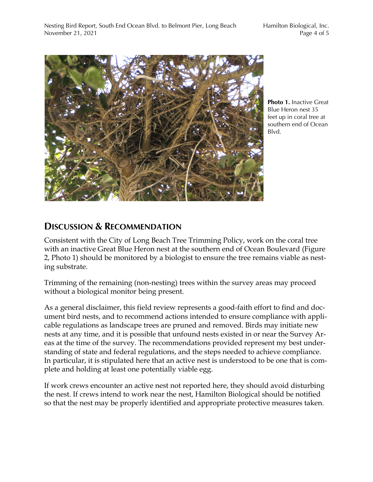

**Photo 1.** Inactive Great Blue Heron nest 35 feet up in coral tree at southern end of Ocean Blvd.

# **DISCUSSION & RECOMMENDATION**

Consistent with the City of Long Beach Tree Trimming Policy, work on the coral tree with an inactive Great Blue Heron nest at the southern end of Ocean Boulevard (Figure 2, Photo 1) should be monitored by a biologist to ensure the tree remains viable as nesting substrate.

Trimming of the remaining (non-nesting) trees within the survey areas may proceed without a biological monitor being present.

As a general disclaimer, this field review represents a good-faith effort to find and document bird nests, and to recommend actions intended to ensure compliance with applicable regulations as landscape trees are pruned and removed. Birds may initiate new nests at any time, and it is possible that unfound nests existed in or near the Survey Areas at the time of the survey. The recommendations provided represent my best understanding of state and federal regulations, and the steps needed to achieve compliance. In particular, it is stipulated here that an active nest is understood to be one that is complete and holding at least one potentially viable egg.

If work crews encounter an active nest not reported here, they should avoid disturbing the nest. If crews intend to work near the nest, Hamilton Biological should be notified so that the nest may be properly identified and appropriate protective measures taken.